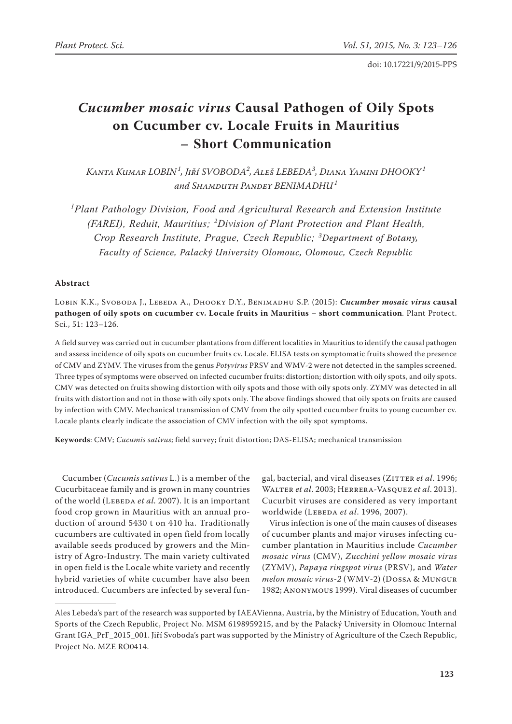# *Cucumber mosaic virus* **Causal Pathogen of Oily Spots on Cucumber cv. Locale Fruits in Mauritius – Short Communication**

*Kanta Kumar LOBIN<sup>1</sup> , Jiří SVOBODA<sup>2</sup> , Aleš LEBEDA<sup>3</sup> , Diana Yamini DHOOKY<sup>1</sup> and Shamduth Pandey BENIMADHU<sup>1</sup>*

<sup>1</sup> Plant Pathology Division, Food and Agricultural Research and Extension Institute *(FAREI), Reduit, Mauritius; <sup>2</sup> Division of Plant Protection and Plant Health, Crop Research Institute, Prague, Czech Republic; <sup>3</sup> Department of Botany, Faculty of Science, Palacký University Olomouc, Olomouc, Czech Republic* 

## **Abstract**

Lobin K.K., Svoboda J., Lebeda A., Dhooky D.Y., Benimadhu S.P. (2015): *Cucumber mosaic virus* **causal pathogen of oily spots on cucumber cv. Locale fruits in Mauritius – short communication**. Plant Protect. Sci., 51: 123–126.

A field survey was carried out in cucumber plantations from different localities in Mauritius to identify the causal pathogen and assess incidence of oily spots on cucumber fruits cv. Locale. ELISA tests on symptomatic fruits showed the presence of CMV and ZYMV. The viruses from the genus *Potyvirus* PRSV and WMV-2 were not detected in the samples screened. Three types of symptoms were observed on infected cucumber fruits: distortion; distortion with oily spots, and oily spots. CMV was detected on fruits showing distortion with oily spots and those with oily spots only. ZYMV was detected in all fruits with distortion and not in those with oily spots only. The above findings showed that oily spots on fruits are caused by infection with CMV. Mechanical transmission of CMV from the oily spotted cucumber fruits to young cucumber cv. Locale plants clearly indicate the association of CMV infection with the oily spot symptoms.

**Keywords**: CMV; *Cucumis sativus*; field survey; fruit distortion; DAS-ELISA; mechanical transmission

Cucumber (*Cucumis sativus* L.) is a member of the Cucurbitaceae family and is grown in many countries of the world (LEBEDA *et al.* 2007). It is an important food crop grown in Mauritius with an annual production of around 5430 t on 410 ha. Traditionally cucumbers are cultivated in open field from locally available seeds produced by growers and the Ministry of Agro-Industry. The main variety cultivated in open field is the Locale white variety and recently hybrid varieties of white cucumber have also been introduced. Cucumbers are infected by several fun-

gal, bacterial, and viral diseases (ZITTER et al. 1996; Walter *et al*. 2003; Herrera-Vasquez *et al*. 2013). Cucurbit viruses are considered as very important worldwide (LEBEDA *et al.* 1996, 2007).

Virus infection is one of the main causes of diseases of cucumber plants and major viruses infecting cucumber plantation in Mauritius include *Cucumber mosaic virus* (CMV), *Zucchini yellow mosaic virus* (ZYMV), *Papaya ringspot virus* (PRSV), and *Water melon mosaic virus-2* (WMV-2) (Dossa & Mungur 1982; Anonymous 1999). Viral diseases of cucumber

Ales Lebeda's part of the research was supported by IAEAVienna, Austria, by the Ministry of Education, Youth and Sports of the Czech Republic, Project No. MSM 6198959215, and by the Palacký University in Olomouc Internal Grant IGA\_PrF\_2015\_001. Jiří Svoboda's part was supported by the Ministry of Agriculture of the Czech Republic, Project No. MZE RO0414.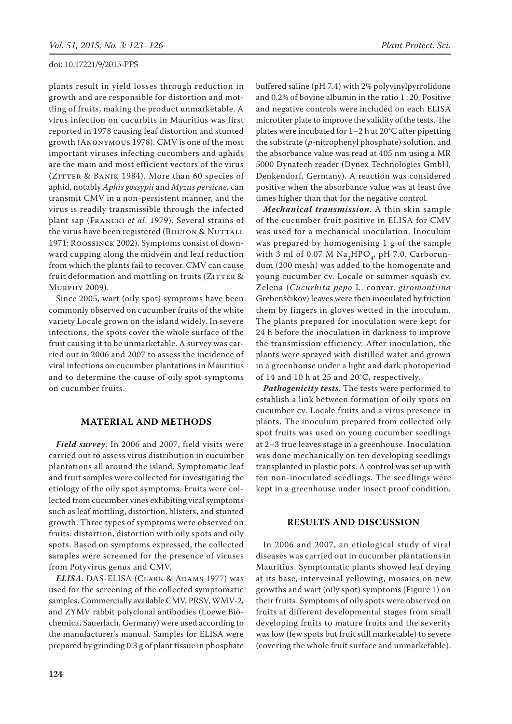plants result in yield losses through reduction in growth and are responsible for distortion and mottling of fruits, making the product unmarketable. A virus infection on cucurbits in Mauritius was first reported in 1978 causing leaf distortion and stunted growth (Anonymous 1978). CMV is one of the most important viruses infecting cucumbers and aphids are the main and most efficient vectors of the virus (ZITTER & BANIK 1984). More than 60 species of aphid, notably *Aphis gossypii* and *Myzus persicae,* can transmit CMV in a non-persistent manner, and the virus is readily transmissible through the infected plant sap (Francki *et al*. 1979). Several strains of the virus have been registered (BOLTON & NUTTALL 1971; Roossinck 2002). Symptoms consist of downward cupping along the midvein and leaf reduction from which the plants fail to recover. CMV can cause fruit deformation and mottling on fruits (ZITTER & Murphy 2009).

Since 2005, wart (oily spot) symptoms have been commonly observed on cucumber fruits of the white variety Locale grown on the island widely. In severe infections, the spots cover the whole surface of the fruit causing it to be unmarketable. A survey was carried out in 2006 and 2007 to assess the incidence of viral infections on cucumber plantations in Mauritius and to determine the cause of oily spot symptoms on cucumber fruits.

## **MATERIAL AND METHODS**

*Field survey*. In 2006 and 2007, field visits were carried out to assess virus distribution in cucumber plantations all around the island. Symptomatic leaf and fruit samples were collected for investigating the etiology of the oily spot symptoms. Fruits were collected from cucumber vines exhibiting viral symptoms such as leaf mottling, distortion, blisters, and stunted growth. Three types of symptoms were observed on fruits: distortion, distortion with oily spots and oily spots. Based on symptoms expressed, the collected samples were screened for the presence of viruses from Potyvirus genus and CMV.

*ELISA*. DAS-ELISA (Clark & Adams 1977) was used for the screening of the collected symptomatic samples. Commercially available CMV, PRSV, WMV-2, and ZYMV rabbit polyclonal antibodies (Loewe Biochemica, Sauerlach, Germany) were used according to the manufacturer's manual. Samples for ELISA were prepared by grinding 0.3 g of plant tissue in phosphate buffered saline (pH 7.4) with 2% polyvinylpyrrolidone and 0.2% of bovine albumin in the ratio 1 : 20. Positive and negative controls were included on each ELISA microtiter plate to improve the validity of the tests. The plates were incubated for 1–2 h at 20°C after pipetting the substrate (*p-*nitrophenyl phosphate) solution, and the absorbance value was read at 405 nm using a MR 5000 Dynatech reader (Dynex Technologies GmbH, Denkendorf, Germany). A reaction was considered positive when the absorbance value was at least five times higher than that for the negative control.

*Mechanical transmission*. A thin skin sample of the cucumber fruit positive in ELISA for CMV was used for a mechanical inoculation. Inoculum was prepared by homogenising 1 g of the sample with 3 ml of 0.07 M  $\text{Na}_2\text{HPO}_4$ , pH 7.0. Carborundum (200 mesh) was added to the homogenate and young cucumber cv. Locale or summer squash cv. Zelena (*Cucurbita pepo* L. convar. *giromontiina* Grebenščikov) leaves were then inoculated by friction them by fingers in gloves wetted in the inoculum. The plants prepared for inoculation were kept for 24 h before the inoculation in darkness to improve the transmission efficiency. After inoculation, the plants were sprayed with distilled water and grown in a greenhouse under a light and dark photoperiod of 14 and 10 h at 25 and 20°C, respectively.

*Pathogenicity tests*. The tests were performed to establish a link between formation of oily spots on cucumber cv. Locale fruits and a virus presence in plants. The inoculum prepared from collected oily spot fruits was used on young cucumber seedlings at 2–3 true leaves stage in a greenhouse. Inoculation was done mechanically on ten developing seedlings transplanted in plastic pots. A control was set up with ten non-inoculated seedlings. The seedlings were kept in a greenhouse under insect proof condition.

## **RESULTS AND DISCUSSION**

In 2006 and 2007, an etiological study of viral diseases was carried out in cucumber plantations in Mauritius. Symptomatic plants showed leaf drying at its base, interveinal yellowing, mosaics on new growths and wart (oily spot) symptoms (Figure 1) on their fruits. Symptoms of oily spots were observed on fruits at different developmental stages from small developing fruits to mature fruits and the severity was low (few spots but fruit still marketable) to severe (covering the whole fruit surface and unmarketable).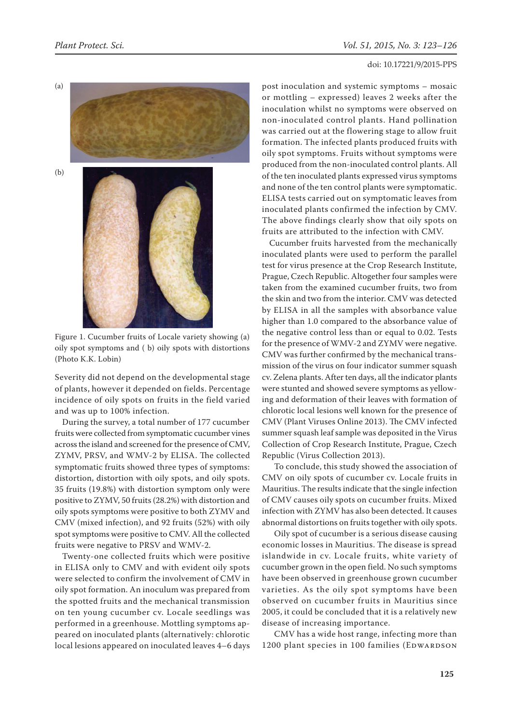

Figure 1. Cucumber fruits of Locale variety showing (a) oily spot symptoms and ( b) oily spots with distortions (Photo K.K. Lobin)

Severity did not depend on the developmental stage of plants, however it depended on fields. Percentage incidence of oily spots on fruits in the field varied and was up to 100% infection.

During the survey, a total number of 177 cucumber fruits were collected from symptomatic cucumber vines across the island and screened for the presence of CMV, ZYMV, PRSV, and WMV-2 by ELISA. The collected symptomatic fruits showed three types of symptoms: distortion, distortion with oily spots, and oily spots. 35 fruits (19.8%) with distortion symptom only were positive to ZYMV, 50 fruits (28.2%) with distortion and oily spots symptoms were positive to both ZYMV and CMV (mixed infection), and 92 fruits (52%) with oily spot symptoms were positive to CMV. All the collected fruits were negative to PRSV and WMV-2.

Twenty-one collected fruits which were positive in ELISA only to CMV and with evident oily spots were selected to confirm the involvement of CMV in oily spot formation. An inoculum was prepared from the spotted fruits and the mechanical transmission on ten young cucumber cv. Locale seedlings was performed in a greenhouse. Mottling symptoms appeared on inoculated plants (alternatively: chlorotic local lesions appeared on inoculated leaves 4–6 days post inoculation and systemic symptoms – mosaic or mottling – expressed) leaves 2 weeks after the inoculation whilst no symptoms were observed on non-inoculated control plants. Hand pollination was carried out at the flowering stage to allow fruit formation. The infected plants produced fruits with oily spot symptoms. Fruits without symptoms were produced from the non-inoculated control plants. All of the ten inoculated plants expressed virus symptoms and none of the ten control plants were symptomatic. ELISA tests carried out on symptomatic leaves from inoculated plants confirmed the infection by CMV. The above findings clearly show that oily spots on fruits are attributed to the infection with CMV.

Cucumber fruits harvested from the mechanically inoculated plants were used to perform the parallel test for virus presence at the Crop Research Institute, Prague, Czech Republic. Altogether four samples were taken from the examined cucumber fruits, two from the skin and two from the interior. CMV was detected by ELISA in all the samples with absorbance value higher than 1.0 compared to the absorbance value of the negative control less than or equal to 0.02. Tests for the presence of WMV-2 and ZYMV were negative. CMV was further confirmed by the mechanical transmission of the virus on four indicator summer squash cv. Zelena plants. After ten days, all the indicator plants were stunted and showed severe symptoms as yellowing and deformation of their leaves with formation of chlorotic local lesions well known for the presence of CMV (Plant Viruses Online 2013). The CMV infected summer squash leaf sample was deposited in the Virus Collection of Crop Research Institute, Prague, Czech Republic (Virus Collection 2013).

To conclude, this study showed the association of CMV on oily spots of cucumber cv. Locale fruits in Mauritius. The results indicate that the single infection of CMV causes oily spots on cucumber fruits. Mixed infection with ZYMV has also been detected. It causes abnormal distortions on fruits together with oily spots.

Oily spot of cucumber is a serious disease causing economic losses in Mauritius. The disease is spread islandwide in cv. Locale fruits, white variety of cucumber grown in the open field. No such symptoms have been observed in greenhouse grown cucumber varieties. As the oily spot symptoms have been observed on cucumber fruits in Mauritius since 2005, it could be concluded that it is a relatively new disease of increasing importance.

CMV has a wide host range, infecting more than 1200 plant species in 100 families (EDWARDSON